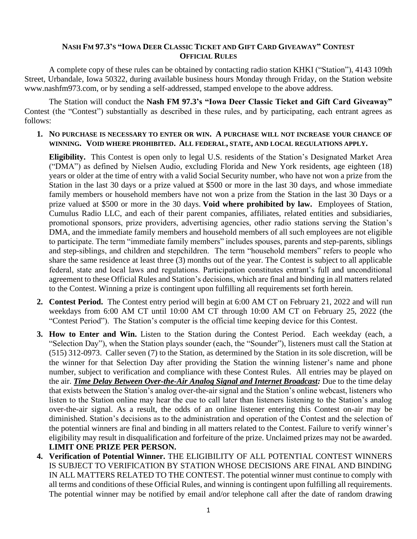## NASH FM 97.3'S "IOWA DEER CLASSIC TICKET AND GIFT CARD GIVEAWAY" CONTEST **OFFICIAL RULES**

A complete copy of these rules can be obtained by contacting radio station KHKI ("Station"), 4143 109th Street, Urbandale, Iowa 50322, during available business hours Monday through Friday, on the Station website www.nashfm973.com, or by sending a self-addressed, stamped envelope to the above address.

The Station will conduct the **Nash FM 97.3's "Iowa Deer Classic Ticket and Gift Card Giveaway"**  Contest (the "Contest") substantially as described in these rules, and by participating, each entrant agrees as follows:

## **1. NO PURCHASE IS NECESSARY TO ENTER OR WIN. A PURCHASE WILL NOT INCREASE YOUR CHANCE OF WINNING. VOID WHERE PROHIBITED. ALL FEDERAL, STATE, AND LOCAL REGULATIONS APPLY.**

**Eligibility.** This Contest is open only to legal U.S. residents of the Station's Designated Market Area ("DMA") as defined by Nielsen Audio, excluding Florida and New York residents, age eighteen (18) years or older at the time of entry with a valid Social Security number, who have not won a prize from the Station in the last 30 days or a prize valued at \$500 or more in the last 30 days, and whose immediate family members or household members have not won a prize from the Station in the last 30 Days or a prize valued at \$500 or more in the 30 days. **Void where prohibited by law.** Employees of Station, Cumulus Radio LLC, and each of their parent companies, affiliates, related entities and subsidiaries, promotional sponsors, prize providers, advertising agencies, other radio stations serving the Station's DMA, and the immediate family members and household members of all such employees are not eligible to participate. The term "immediate family members" includes spouses, parents and step-parents, siblings and step-siblings, and children and stepchildren. The term "household members" refers to people who share the same residence at least three (3) months out of the year. The Contest is subject to all applicable federal, state and local laws and regulations. Participation constitutes entrant's full and unconditional agreement to these Official Rules and Station's decisions, which are final and binding in all matters related to the Contest. Winning a prize is contingent upon fulfilling all requirements set forth herein.

- **2. Contest Period.** The Contest entry period will begin at 6:00 AM CT on February 21, 2022 and will run weekdays from 6:00 AM CT until 10:00 AM CT through 10:00 AM CT on February 25, 2022 (the "Contest Period"). The Station's computer is the official time keeping device for this Contest.
- **3. How to Enter and Win.** Listen to the Station during the Contest Period. Each weekday (each, a "Selection Day"), when the Station plays sounder (each, the "Sounder"), listeners must call the Station at (515) 312-0973. Caller seven (7) to the Station, as determined by the Station in its sole discretion, will be the winner for that Selection Day after providing the Station the winning listener's name and phone number, subject to verification and compliance with these Contest Rules. All entries may be played on the air. *Time Delay Between Over-the-Air Analog Signal and Internet Broadcast:* Due to the time delay that exists between the Station's analog over-the-air signal and the Station's online webcast, listeners who listen to the Station online may hear the cue to call later than listeners listening to the Station's analog over-the-air signal. As a result, the odds of an online listener entering this Contest on-air may be diminished. Station's decisions as to the administration and operation of the Contest and the selection of the potential winners are final and binding in all matters related to the Contest. Failure to verify winner's eligibility may result in disqualification and forfeiture of the prize. Unclaimed prizes may not be awarded. **LIMIT ONE PRIZE PER PERSON.**
- **4. Verification of Potential Winner.** THE ELIGIBILITY OF ALL POTENTIAL CONTEST WINNERS IS SUBJECT TO VERIFICATION BY STATION WHOSE DECISIONS ARE FINAL AND BINDING IN ALL MATTERS RELATED TO THE CONTEST. The potential winner must continue to comply with all terms and conditions of these Official Rules, and winning is contingent upon fulfilling all requirements. The potential winner may be notified by email and/or telephone call after the date of random drawing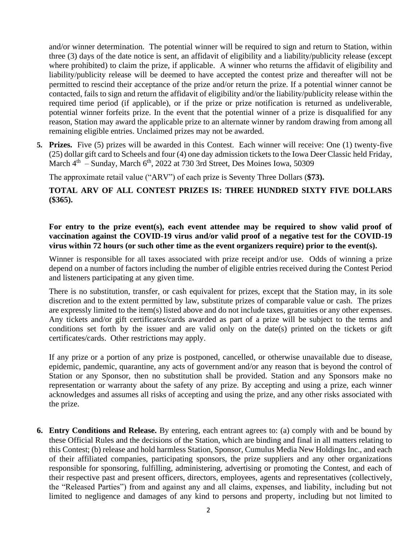and/or winner determination. The potential winner will be required to sign and return to Station, within three (3) days of the date notice is sent, an affidavit of eligibility and a liability/publicity release (except where prohibited) to claim the prize, if applicable. A winner who returns the affidavit of eligibility and liability/publicity release will be deemed to have accepted the contest prize and thereafter will not be permitted to rescind their acceptance of the prize and/or return the prize. If a potential winner cannot be contacted, fails to sign and return the affidavit of eligibility and/or the liability/publicity release within the required time period (if applicable), or if the prize or prize notification is returned as undeliverable, potential winner forfeits prize. In the event that the potential winner of a prize is disqualified for any reason, Station may award the applicable prize to an alternate winner by random drawing from among all remaining eligible entries. Unclaimed prizes may not be awarded.

**5. Prizes.** Five (5) prizes will be awarded in this Contest. Each winner will receive: One (1) twenty-five (25) dollar gift card to Scheels and four (4) one day admission tickets to the Iowa Deer Classic held Friday, March 4<sup>th</sup> – Sunday, March 6<sup>th</sup>, 2022 at 730 3rd Street, Des Moines Iowa, 50309

The approximate retail value ("ARV") of each prize is Seventy Three Dollars (**\$73).** 

## **TOTAL ARV OF ALL CONTEST PRIZES IS: THREE HUNDRED SIXTY FIVE DOLLARS (\$365).**

## **For entry to the prize event(s), each event attendee may be required to show valid proof of vaccination against the COVID-19 virus and/or valid proof of a negative test for the COVID-19 virus within 72 hours (or such other time as the event organizers require) prior to the event(s).**

Winner is responsible for all taxes associated with prize receipt and/or use. Odds of winning a prize depend on a number of factors including the number of eligible entries received during the Contest Period and listeners participating at any given time.

There is no substitution, transfer, or cash equivalent for prizes, except that the Station may, in its sole discretion and to the extent permitted by law, substitute prizes of comparable value or cash. The prizes are expressly limited to the item(s) listed above and do not include taxes, gratuities or any other expenses. Any tickets and/or gift certificates/cards awarded as part of a prize will be subject to the terms and conditions set forth by the issuer and are valid only on the date(s) printed on the tickets or gift certificates/cards. Other restrictions may apply.

If any prize or a portion of any prize is postponed, cancelled, or otherwise unavailable due to disease, epidemic, pandemic, quarantine, any acts of government and/or any reason that is beyond the control of Station or any Sponsor, then no substitution shall be provided. Station and any Sponsors make no representation or warranty about the safety of any prize. By accepting and using a prize, each winner acknowledges and assumes all risks of accepting and using the prize, and any other risks associated with the prize.

**6. Entry Conditions and Release.** By entering, each entrant agrees to: (a) comply with and be bound by these Official Rules and the decisions of the Station, which are binding and final in all matters relating to this Contest; (b) release and hold harmless Station, Sponsor, Cumulus Media New Holdings Inc., and each of their affiliated companies, participating sponsors, the prize suppliers and any other organizations responsible for sponsoring, fulfilling, administering, advertising or promoting the Contest, and each of their respective past and present officers, directors, employees, agents and representatives (collectively, the "Released Parties") from and against any and all claims, expenses, and liability, including but not limited to negligence and damages of any kind to persons and property, including but not limited to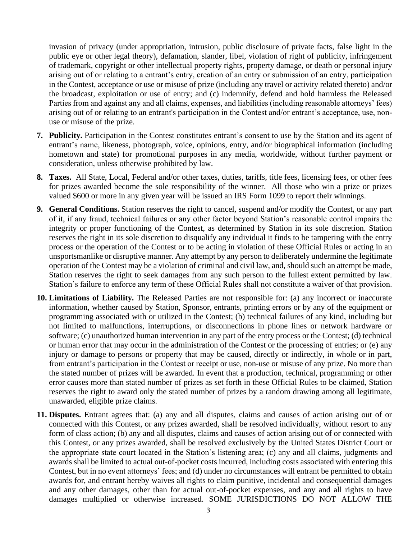invasion of privacy (under appropriation, intrusion, public disclosure of private facts, false light in the public eye or other legal theory), defamation, slander, libel, violation of right of publicity, infringement of trademark, copyright or other intellectual property rights, property damage, or death or personal injury arising out of or relating to a entrant's entry, creation of an entry or submission of an entry, participation in the Contest, acceptance or use or misuse of prize (including any travel or activity related thereto) and/or the broadcast, exploitation or use of entry; and (c) indemnify, defend and hold harmless the Released Parties from and against any and all claims, expenses, and liabilities (including reasonable attorneys' fees) arising out of or relating to an entrant's participation in the Contest and/or entrant's acceptance, use, nonuse or misuse of the prize.

- **7. Publicity.** Participation in the Contest constitutes entrant's consent to use by the Station and its agent of entrant's name, likeness, photograph, voice, opinions, entry, and/or biographical information (including hometown and state) for promotional purposes in any media, worldwide, without further payment or consideration, unless otherwise prohibited by law.
- **8. Taxes.** All State, Local, Federal and/or other taxes, duties, tariffs, title fees, licensing fees, or other fees for prizes awarded become the sole responsibility of the winner. All those who win a prize or prizes valued \$600 or more in any given year will be issued an IRS Form 1099 to report their winnings.
- **9. General Conditions.** Station reserves the right to cancel, suspend and/or modify the Contest, or any part of it, if any fraud, technical failures or any other factor beyond Station's reasonable control impairs the integrity or proper functioning of the Contest, as determined by Station in its sole discretion. Station reserves the right in its sole discretion to disqualify any individual it finds to be tampering with the entry process or the operation of the Contest or to be acting in violation of these Official Rules or acting in an unsportsmanlike or disruptive manner. Any attempt by any person to deliberately undermine the legitimate operation of the Contest may be a violation of criminal and civil law, and, should such an attempt be made, Station reserves the right to seek damages from any such person to the fullest extent permitted by law. Station's failure to enforce any term of these Official Rules shall not constitute a waiver of that provision.
- **10. Limitations of Liability.** The Released Parties are not responsible for: (a) any incorrect or inaccurate information, whether caused by Station, Sponsor, entrants, printing errors or by any of the equipment or programming associated with or utilized in the Contest; (b) technical failures of any kind, including but not limited to malfunctions, interruptions, or disconnections in phone lines or network hardware or software; (c) unauthorized human intervention in any part of the entry process or the Contest; (d) technical or human error that may occur in the administration of the Contest or the processing of entries; or (e) any injury or damage to persons or property that may be caused, directly or indirectly, in whole or in part, from entrant's participation in the Contest or receipt or use, non-use or misuse of any prize. No more than the stated number of prizes will be awarded. In event that a production, technical, programming or other error causes more than stated number of prizes as set forth in these Official Rules to be claimed, Station reserves the right to award only the stated number of prizes by a random drawing among all legitimate, unawarded, eligible prize claims.
- **11. Disputes.** Entrant agrees that: (a) any and all disputes, claims and causes of action arising out of or connected with this Contest, or any prizes awarded, shall be resolved individually, without resort to any form of class action; (b) any and all disputes, claims and causes of action arising out of or connected with this Contest, or any prizes awarded, shall be resolved exclusively by the United States District Court or the appropriate state court located in the Station's listening area; (c) any and all claims, judgments and awards shall be limited to actual out-of-pocket costs incurred, including costs associated with entering this Contest, but in no event attorneys' fees; and (d) under no circumstances will entrant be permitted to obtain awards for, and entrant hereby waives all rights to claim punitive, incidental and consequential damages and any other damages, other than for actual out-of-pocket expenses, and any and all rights to have damages multiplied or otherwise increased. SOME JURISDICTIONS DO NOT ALLOW THE